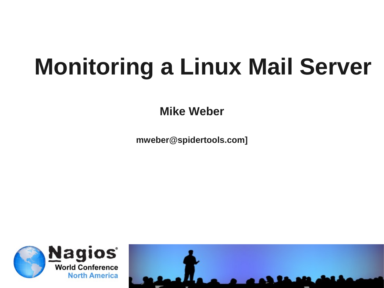# **Monitoring a Linux Mail Server**

**Mike Weber**

**mweber@spidertools.com]**

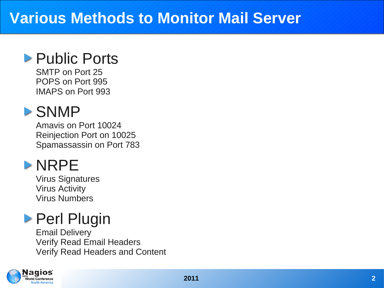### **Various Methods to Monitor Mail Server**

### **Public Ports**

SMTP on Port 25 POPS on Port 995 IMAPS on Port 993

### SNMP

Amavis on Port 10024 Reinjection Port on 10025 Spamassassin on Port 783

### **>NRPE**

Virus Signatures Virus Activity Virus Numbers

# **Perl Plugin**

Email Delivery Verify Read Email Headers Verify Read Headers and Content

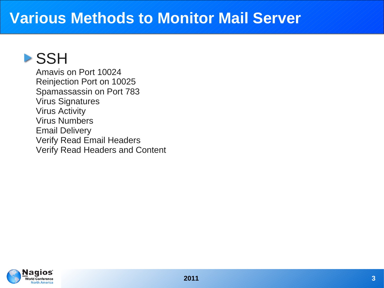### **Various Methods to Monitor Mail Server**

# **>SSH**

Amavis on Port 10024 Reinjection Port on 10025 Spamassassin on Port 783 Virus Signatures Virus Activity Virus Numbers Email Delivery Verify Read Email Headers Verify Read Headers and Content

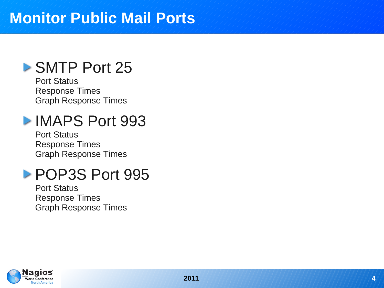### **Monitor Public Mail Ports**

### ▶ SMTP Port 25

Port Status Response Times Graph Response Times

# **IMAPS Port 993**

Port Status Response Times Graph Response Times

### POP3S Port 995

Port Status Response Times Graph Response Times

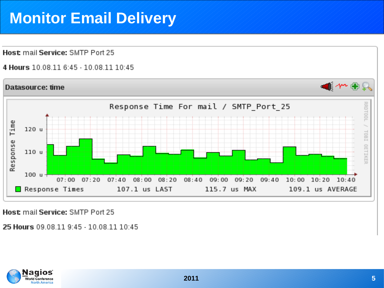# **Monitor Email Delivery**

Host mail Service: SMTP Port 25

4 Hours 10 08 11 6:45 - 10 08 11 10:45



Host mail Service: SMTP Port 25

25 Hours 09 08 11 9:45 - 10 08 11 10:45

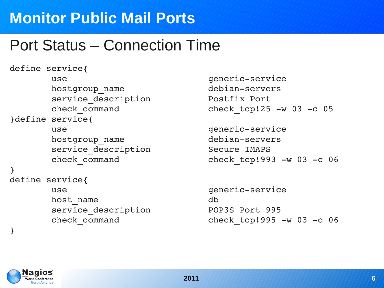# **Monitor Public Mail Ports**

# Port Status – Connection Time

```
define service{
                use                           genericservice
        hostgroup name debian-servers
                service_description           Postfix Port
}define service{
                use                           genericservice
        hostgroup name debian-servers
                service_description           Secure IMAPS
}
define service{
                use                           genericservice
        host name db
                service_description           POP3S Port 995
}
```
check\_command check\_tcp!25 w 03 c 05

check\_command check\_tcp!993 w 03 c 06

check\_command check\_tcp!995 w 03 c 06

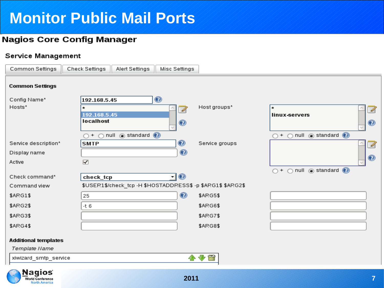# **Monitor Public Mail Ports**

### **Nagios Core Config Manager**

### Service Management

**World Conference North America** 

| Common Settings             | Check Settings                  | Alert Settings                              | Misc Settings     |                                                             |                                                                     |
|-----------------------------|---------------------------------|---------------------------------------------|-------------------|-------------------------------------------------------------|---------------------------------------------------------------------|
| <b>Common Settings</b>      |                                 |                                             |                   |                                                             |                                                                     |
| Config Name*                | 192.168.5.45                    |                                             | $\mathbf{\Theta}$ |                                                             |                                                                     |
| Hosts*                      |                                 |                                             | 7                 | Host groups*                                                | $\star$<br>4                                                        |
|                             | 192.168.5.45                    |                                             |                   |                                                             | linux-servers                                                       |
|                             | localhost                       |                                             | $\bf \odot$       |                                                             | $\bullet$                                                           |
|                             | $\bigcirc$ +<br>$\bigcirc$      | null $\circledcirc$ standard $\circledcirc$ |                   |                                                             | null ostandard O<br>$\bigcirc$ + $\bigcirc$                         |
| Service description*        | <b>SMTP</b>                     |                                             | $\bullet$         | Service groups                                              | 4                                                                   |
| Display name                |                                 |                                             | $\, \bullet \,$   |                                                             |                                                                     |
| Active                      | $\overline{\blacktriangledown}$ |                                             |                   |                                                             | $\circledcirc$                                                      |
|                             |                                 |                                             |                   |                                                             | $\bigcirc$ + $\bigcirc$ null $\circledcirc$ standard $\circledcirc$ |
| Check command*              | check_tcp                       |                                             | न⊚                |                                                             |                                                                     |
| Command view                |                                 |                                             |                   | \$USER1\$/check_tcp -H \$HOSTADDRESS\$ -p \$ARG1\$ \$ARG2\$ |                                                                     |
| \$ARG1\$                    | 25                              |                                             | ◉                 | \$ARG5\$                                                    |                                                                     |
| <b>\$ARG2\$</b>             | $-t6$                           |                                             |                   | \$ARG6\$                                                    |                                                                     |
| <b>\$ARG3\$</b>             |                                 |                                             |                   | \$ARG7\$                                                    |                                                                     |
| \$ARG4\$                    |                                 |                                             |                   | \$ARG8\$                                                    |                                                                     |
| <b>Additional templates</b> |                                 |                                             |                   |                                                             |                                                                     |
| Template Name               |                                 |                                             |                   |                                                             |                                                                     |
| xiwizard_smtp_service       |                                 |                                             |                   | 小小园                                                         |                                                                     |
| <b>Nagios</b>               |                                 |                                             |                   |                                                             |                                                                     |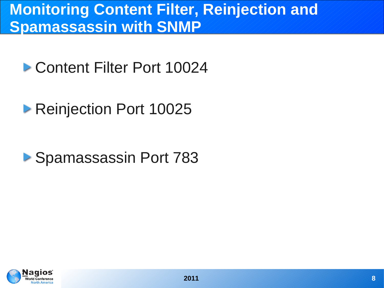# **Monitoring Content Filter, Reinjection and Spamassassin with SNMP**

# **Content Filter Port 10024**

# ▶ Reinjection Port 10025

# ▶ Spamassassin Port 783

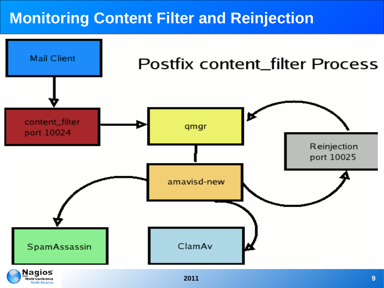### **Monitoring Content Filter and Reinjection**

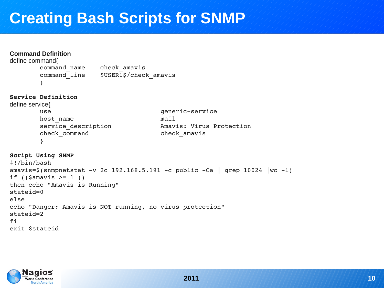### **Creating Bash Scripts for SNMP**

### **Command Definition** define command{ command name check amavis command line \$USER1\$/check amavis } **Service Definition** define service{ use  $q$ eneric-service host name  $\qquad \qquad$  mail service\_description Amavis: Virus Protection check\_command check\_amavis } **Script Using SNMP** #!/bin/bash amavis= $\frac{2}{\pi}$ (snmpnetstat -v 2c 192.168.5.191 -c public -Ca | grep 10024 |wc -1) if  $((\text{Samavis} > = 1))$ then echo "Amavis is Running" stateid=0 else echo "Danger: Amavis is NOT running, no virus protection" stateid=2 fi exit \$stateid

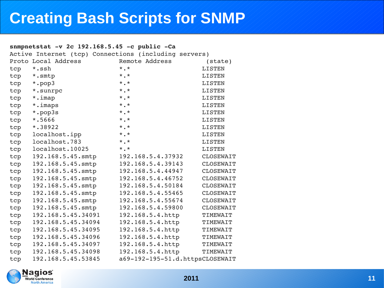## **Creating Bash Scripts for SNMP**

### snmpnetstat -v 2c 192.168.5.45 -c public -Ca

|     | Active Internet (tcp) Connections (including servers) |                                 |                  |
|-----|-------------------------------------------------------|---------------------------------|------------------|
|     | Proto Local Address                                   | Remote Address                  | $(\text{state})$ |
| tcp | *.ssh                                                 | $\star$ . $\star$               | <b>LISTEN</b>    |
|     | tcp *.smtp                                            | $\star$ . $\star$               | <b>LISTEN</b>    |
| tcp | *.pop3                                                | $\star$ . $\star$               | <b>LISTEN</b>    |
| tcp | *.sunrpc                                              | $\star$ . $\star$               | <b>LISTEN</b>    |
| tcp | *.imap                                                | $\star$ . $\star$               | <b>LISTEN</b>    |
| tcp | *.imaps                                               | $\star$ . $\star$               | <b>LISTEN</b>    |
| tcp | *.pop3s                                               | $\star$ . $\star$               | <b>LISTEN</b>    |
| tcp | *.5666                                                | $\star$ . $\star$               | <b>LISTEN</b>    |
| tcp | $*$ .38922                                            | $*$ .*                          | <b>LISTEN</b>    |
| tcp | localhost.ipp                                         | $*$ , $*$                       | LISTEN           |
| tcp | localhost.783                                         | $*$ .*                          | <b>LISTEN</b>    |
| tcp | localhost.10025                                       | $*$ , $*$                       | <b>LISTEN</b>    |
| tcp | 192.168.5.45.smtp                                     | 192.168.5.4.37932               | CLOSEWAIT        |
| tcp | 192.168.5.45.smtp                                     | 192.168.5.4.39143               | CLOSEWAIT        |
| tcp | 192.168.5.45.smtp                                     | 192.168.5.4.44947               | CLOSEWAIT        |
| tcp | 192.168.5.45.smtp                                     | 192.168.5.4.46752               | CLOSEWAIT        |
| tcp | 192.168.5.45.smtp                                     | 192.168.5.4.50184               | CLOSEWAIT        |
| tcp | 192.168.5.45.smtp                                     | 192.168.5.4.55465               | CLOSEWAIT        |
| tcp | 192.168.5.45.smtp                                     | 192.168.5.4.55674               | CLOSEWAIT        |
| tcp | 192.168.5.45.smtp                                     | 192.168.5.4.59800               | CLOSEWAIT        |
| tcp | 192.168.5.45.34091                                    | 192.168.5.4.http                | TIMEWAIT         |
| tcp | 192.168.5.45.34094                                    | 192.168.5.4.http                | TIMEWAIT         |
| tcp | 192.168.5.45.34095                                    | 192.168.5.4.http                | TIMEWAIT         |
| tcp | 192.168.5.45.34096                                    | 192.168.5.4.http                | TIMEWAIT         |
| tcp | 192.168.5.45.34097                                    | 192.168.5.4.http                | TIMEWAIT         |
| tcp | 192.168.5.45.34098                                    | 192.168.5.4.http                | TIMEWAIT         |
| tcp | 192.168.5.45.53845                                    | a69-192-195-51.d.httpsCLOSEWAIT |                  |

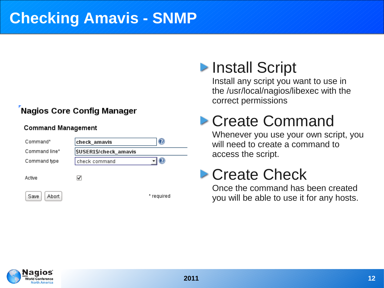### **Checking Amavis - SNMP**

### **Nagios Core Config Manager**

### **Command Management**

| Command*      | check_amavis                | U          |
|---------------|-----------------------------|------------|
| Command line* | <b>SUSER1S/check_amavis</b> |            |
| Command type  | check command               |            |
| Active        |                             |            |
| Abort<br>Save |                             | * required |

# **Install Script**

Install any script you want to use in the /usr/local/nagios/libexec with the correct permissions

# Create Command

Whenever you use your own script, you will need to create a command to access the script.

# **Create Check**

Once the command has been created you will be able to use it for any hosts.

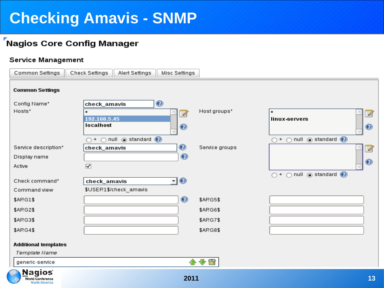# **Checking Amavis - SNMP**

### Nagios Core Config Manager

### Service Management

| Common Settings                                                  | Check Settings<br>Alert Settings<br>Misc Settings                     |                 |                                                                     |
|------------------------------------------------------------------|-----------------------------------------------------------------------|-----------------|---------------------------------------------------------------------|
| <b>Common Settings</b>                                           |                                                                       |                 |                                                                     |
| Config Name*                                                     | $\mathbf{\Theta}$<br>check_amavis                                     |                 |                                                                     |
| Hosts*                                                           | 4                                                                     | Host groups*    | 4                                                                   |
|                                                                  | 192.168.5.45<br>localhost                                             |                 | linux-servers                                                       |
|                                                                  | $\bullet$                                                             |                 | $\bullet$                                                           |
|                                                                  | $\bigcirc$ null $\circledcirc$ standard $\circledcirc$<br>$\bigcap$ + |                 | null o standard o<br>$\bigcap$ +<br>$\bigcap$                       |
| Service description*                                             | $\bullet$<br>check_amavis                                             | Service groups  | 4                                                                   |
| Display name                                                     | $\bf{O}$                                                              |                 |                                                                     |
| Active                                                           | $\overline{\blacktriangledown}$                                       |                 | $\bullet$                                                           |
|                                                                  |                                                                       |                 | $\bigcirc$ + $\bigcirc$ null $\circledcirc$ standard $\circledcirc$ |
| Check command*                                                   | ∃®<br>check_amavis                                                    |                 |                                                                     |
| Command view                                                     | \$USER1\$/check_amavis                                                |                 |                                                                     |
| \$ARG1\$                                                         | ◉                                                                     | <b>\$ARG5\$</b> |                                                                     |
| \$ARG2\$                                                         |                                                                       | \$ARG6\$        |                                                                     |
| \$ARG3\$                                                         |                                                                       | <b>\$ARG7\$</b> |                                                                     |
| \$ARG4\$                                                         |                                                                       | \$ARG8\$        |                                                                     |
| <b>Additional templates</b>                                      |                                                                       |                 |                                                                     |
| Template Name                                                    |                                                                       |                 |                                                                     |
| generic-service                                                  |                                                                       | 小小菌             |                                                                     |
| <b>Nagios</b><br><b>World Conference</b><br><b>North America</b> | 2011                                                                  |                 | 13                                                                  |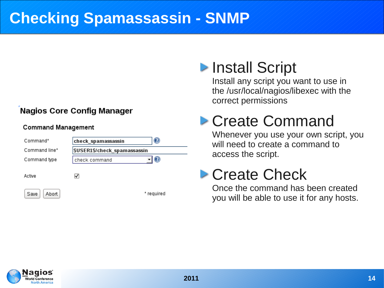# **Checking Spamassassin - SNMP**

### **Nagios Core Config Manager**

### **Command Management**

| Command*      | check_spamassassin           | $_{\odot}$   |  |
|---------------|------------------------------|--------------|--|
| Command line* | \$USER1\$/check_spamassassin |              |  |
| Command type  | check command                | $\mathcal Q$ |  |
| Active        |                              |              |  |
| Abort<br>Save |                              | * required   |  |

# **Install Script**

Install any script you want to use in the /usr/local/nagios/libexec with the correct permissions

# Create Command

Whenever you use your own script, you will need to create a command to access the script.

# **Create Check**

Once the command has been created you will be able to use it for any hosts.

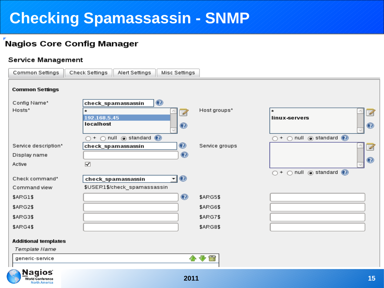# **Checking Spamassassin - SNMP**

### **Nagios Core Config Manager**

### **Service Management**

**North America** 

| Common Settings                              | Check Settings<br>Alert Settings<br>Misc Settings                                                           |                                    |                                                                                       |
|----------------------------------------------|-------------------------------------------------------------------------------------------------------------|------------------------------------|---------------------------------------------------------------------------------------|
| <b>Common Settings</b>                       |                                                                                                             |                                    |                                                                                       |
| Config Name*<br>Hosts*                       | ◉<br>check_spamassassin<br>7                                                                                | Host groups*                       | $\star$<br>4                                                                          |
|                                              | 192.168.5.45<br>localhost<br>$\mathbf{\copyright}$                                                          |                                    | linux-servers<br>$\bullet$                                                            |
| Service description*<br>Display name         | $\bigcirc$ + $\bigcirc$ null $\circledcirc$ standard $\circledcirc$<br>$\bullet$<br>check_spamassassin<br>◉ | Service groups                     | $\bigcirc$ + $\bigcirc$ null $\circledcirc$ standard $\circledcirc$<br>4              |
| Active                                       | $\overline{\mathbf{y}}$                                                                                     |                                    | $\circledcirc$<br>$\bigcirc$ + $\bigcirc$ null $\circledcirc$ standard $\circledcirc$ |
| Check command*<br>Command view               | ন⊚<br>check_spamassassin<br>\$USER1\$/check_spamassassin                                                    |                                    |                                                                                       |
| \$ARG1\$<br><b>\$ARG2\$</b>                  | ◉                                                                                                           | \$ARG5\$<br>\$ARG6\$               |                                                                                       |
| \$ARG3\$<br><b>\$ARG4\$</b>                  |                                                                                                             | <b>\$ARG7\$</b><br><b>\$ARG8\$</b> |                                                                                       |
| <b>Additional templates</b><br>Template Name |                                                                                                             |                                    |                                                                                       |
| generic-service                              |                                                                                                             | 少窗                                 |                                                                                       |
| <b>Nagios</b><br><b>World Conference</b>     | 2011                                                                                                        |                                    | 15                                                                                    |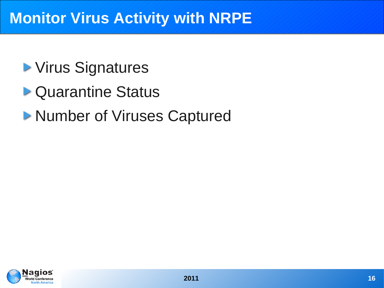### **Monitor Virus Activity with NRPE**

# **> Virus Signatures**

- ▶ Quarantine Status
- **Number of Viruses Captured**

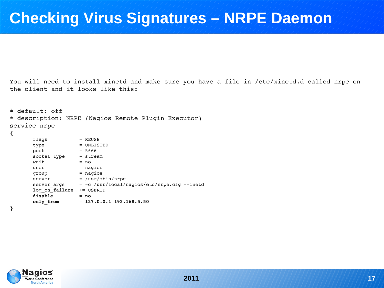### **Checking Virus Signatures – NRPE Daemon**

You will need to install xinetd and make sure you have a file in /etc/xinetd.d called nrpe on the client and it looks like this:

```
# default: off 
# description: NRPE (Nagios Remote Plugin Executor) 
service nrpe 
{ 
       flags = REUSE
               type            = UNLISTED 
       port = 5666socket type = stream
       wait = no
       user = naging        group           = nagios 
       \text{server} = / \text{usr/sbin/nrpe}server args = -c /usr/local/nagios/etc/nrpe.cfg --inetd
       log on failure += USERID
               disable         = no 
               only_from       = 127.0.0.1 192.168.5.50 
}
```
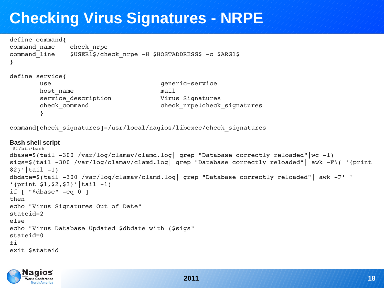# **Checking Virus Signatures - NRPE**

```
define command{
command name check nrpe
command line $USER1$/check nrpe -H $HOSTADDRESS$ -c $ARG1$
}
define service{
       use qeneric-service
       host name \qquad \qquad mail
               service_description             Virus Signatures
               check_command                   check_nrpe!check_signatures
        }
```
command[check\_signatures]=/usr/local/nagios/libexec/check\_signatures

### **Bash shell script**

```
 #!/bin/bash
dbase=\frac{2}{100} /var/log/clamav/clamd.log| grep "Database correctly reloaded"|wc -1)
sigs=$(tail -300 /var/log/clamav/clamd.log| grep "Database correctly reloaded"| awk -F\( '{print
$2}'|tail -1)
dbdate=$(tail -300 /var/log/clamav/clamd.log| grep "Database correctly reloaded"| awk -F' '
'{print $1, $2, $3}'|tail -1)
if \lceil "$dbase" -eq 0 ]
then
echo "Virus Signatures Out of Date"
stateid=2
else
echo "Virus Database Updated $dbdate with ($sigs"
stateid=0
fi
exit $stateid
```
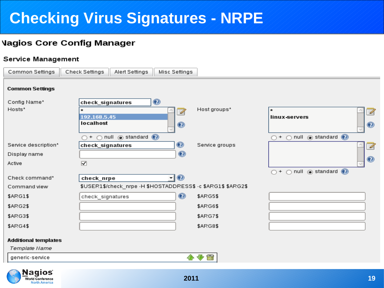# **Checking Virus Signatures - NRPE**

### **Vagios Core Config Manager**

### Service Management

| Common Settings                              | Check Settings<br>Alert Settings<br>Misc Settings                   |                                                                     |
|----------------------------------------------|---------------------------------------------------------------------|---------------------------------------------------------------------|
| <b>Common Settings</b>                       |                                                                     |                                                                     |
| Config Name*                                 | $\bullet$<br>check_signatures                                       |                                                                     |
| Hosts*                                       | Host groups*<br>$\star$<br>U                                        | $\star$<br>4                                                        |
|                                              | 192.168.5.45                                                        | linux-servers                                                       |
|                                              | localhost<br>◉                                                      | $\bullet$                                                           |
|                                              | $\bigcirc$ null $\circledast$ standard $\circledast$<br>$\bigcap$ + | $\bigcirc$ + $\bigcirc$ null $\circledcirc$ standard $\circledcirc$ |
| Service description*                         | ◉<br>Service groups<br>check_signatures                             | 7                                                                   |
| Display name                                 | ◉                                                                   |                                                                     |
| Active                                       | $\overline{\mathbf{v}}$                                             | $\bullet$                                                           |
|                                              |                                                                     | $\bigcirc$ + $\bigcirc$ null $\circledcirc$ standard $\circledcirc$ |
| Check command*                               | न⊚<br>check_nrpe                                                    |                                                                     |
| Command view                                 | \$USER1\$/check_nrpe -H \$HOSTADDRESS\$ -c \$ARG1\$ \$ARG2\$        |                                                                     |
| \$ARG1\$                                     | ◉<br>\$ARG5\$<br>check_signatures                                   |                                                                     |
| \$ARG2\$                                     | \$ARG6\$                                                            |                                                                     |
| \$ARG3\$                                     | \$ARG7\$                                                            |                                                                     |
| \$ARG4\$                                     | <b>\$ARG8\$</b>                                                     |                                                                     |
| <b>Additional templates</b><br>Template Name |                                                                     |                                                                     |
| generic-service                              | 喬<br>⊕<br>≏                                                         |                                                                     |

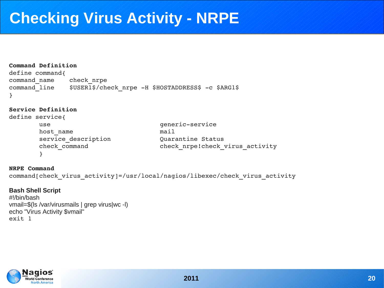### **Checking Virus Activity - NRPE**

```
Command Definition
define command{
command name check nrpe
command line $USER1$/check nrpe -H $HOSTADDRESS$ -c $ARG1$
}
```
### **Service Definition**

```
define service{
       use qeneric-service
       host name \qquad \qquad mail
               service_description             Quarantine Status
               check_command                   check_nrpe!check_virus_activity
        }
```
### **NRPE Command**

```
command[check virus activity]=/usr/local/nagios/libexec/check virus activity
```
### **Bash Shell Script** #!/bin/bash vmail=\$(ls /var/virusmails | grep virus|wc -l) echo "Virus Activity \$vmail" exit 1

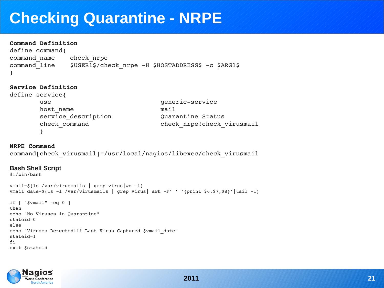## **Checking Quarantine - NRPE**

### **Command Definition**

define command{ command name check nrpe  $command$ line  $$USER1$/check$  nrpe -H \$HOSTADDRESS\$ -c \$ARG1\$ }

#### **Service Definition**

```
define service{
       use qeneric-service
       host name \qquad \qquad mail
               service_description             Quarantine Status
               check_command                   check_nrpe!check_virusmail
        }
```
#### **NRPE Command**

```
command[check_virusmail]=/usr/local/nagios/libexec/check_virusmail
```
#### **Bash Shell Script**

```
#!/bin/bash
```

```
vmail=\frac{5}{1s} / var/virusmails | prep virus|wc -1)vmail date=$(ls -1 /var/virusmails | green virus | awk -F' ' '{print $6, $7, $8}'|tail -1)if [ "$vmail" eq 0 ]
then
echo "No Viruses in Quarantine"
stateid=0
else
echo "Viruses Detected!!! Last Virus Captured $vmail_date"
stateid=1
fi
exit $stateid
```
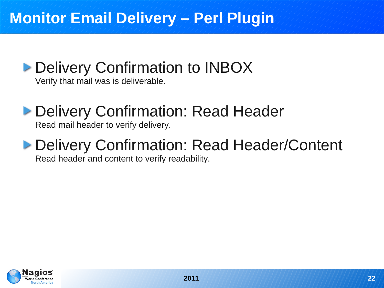# **Monitor Email Delivery – Perl Plugin**

# **Delivery Confirmation to INBOX**

Verify that mail was is deliverable.

# **Delivery Confirmation: Read Header**

Read mail header to verify delivery.

### **Delivery Confirmation: Read Header/Content** Read header and content to verify readability.

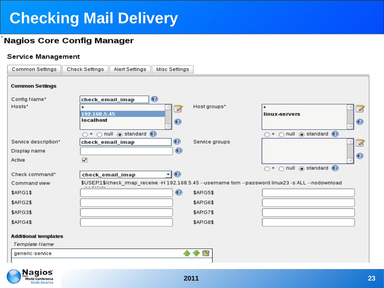# **Checking Mail Delivery**

### **Nagios Core Config Manager**

### Service Management

| Common Settings             | Check Settings                                          | Alert Settings                                         | Misc Settings  |                |                                                                                                    |
|-----------------------------|---------------------------------------------------------|--------------------------------------------------------|----------------|----------------|----------------------------------------------------------------------------------------------------|
| <b>Common Settings</b>      |                                                         |                                                        |                |                |                                                                                                    |
| Config Name*                | check_email_imap                                        |                                                        | $\circledcirc$ |                |                                                                                                    |
| Hosts*                      |                                                         |                                                        | 4              | Host groups*   | ₽                                                                                                  |
|                             | 192.168.5.45<br>localhost                               |                                                        |                |                | linux-servers                                                                                      |
|                             |                                                         |                                                        | $\bullet$      |                | $\circledcirc$                                                                                     |
|                             | $\bigcirc$ +                                            | $\bigcirc$ null $\circledcirc$ standard $\circledcirc$ |                |                | $\bigcirc$ + $\bigcirc$ null $\circledcirc$ standard $\circledcirc$                                |
| Service description*        | check_email_imap                                        |                                                        | ◉              | Service groups |                                                                                                    |
| Display name                |                                                         |                                                        | $\bullet$      |                |                                                                                                    |
| Active                      | $\overline{\mathbf{v}}$                                 |                                                        |                |                | $\circledcirc$                                                                                     |
|                             |                                                         |                                                        |                |                | $\bigcirc$ + $\bigcirc$ null $\circledcirc$ standard $\circledcirc$                                |
| Check command*              | check_email_imap                                        |                                                        | $\neg$         |                |                                                                                                    |
| Command view                | $\sim$ $\sim$ $\sim$ $\sim$ $\sim$ $\sim$ $\sim$ $\sim$ |                                                        |                |                | \$USER1\$/check_imap_receive -H 192.168.5.45 --username tom --password linux23 -s ALL --nodownload |
| \$ARG1\$                    |                                                         |                                                        | ◉              | \$ARG5\$       |                                                                                                    |
| \$ARG2\$                    |                                                         |                                                        |                | \$ARG6\$       |                                                                                                    |
| \$ARG3\$                    |                                                         |                                                        |                | \$ARG7\$       |                                                                                                    |
| \$ARG4\$                    |                                                         |                                                        |                | \$ARG8\$       |                                                                                                    |
|                             |                                                         |                                                        |                |                |                                                                                                    |
| <b>Additional templates</b> |                                                         |                                                        |                |                |                                                                                                    |
| Template Name               |                                                         |                                                        |                |                |                                                                                                    |
| generic-service             |                                                         |                                                        |                | 小小岗            |                                                                                                    |
|                             |                                                         |                                                        |                |                |                                                                                                    |

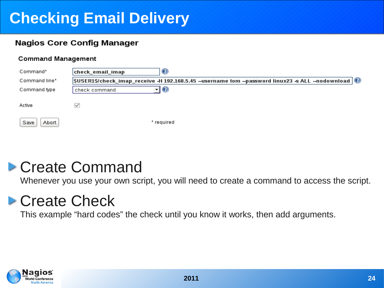# **Checking Email Delivery**

### **Nagios Core Config Manager**

### **Command Management**

| Command*      | check_email_imap<br>w                                                                                                                          |
|---------------|------------------------------------------------------------------------------------------------------------------------------------------------|
| Command line* | $ \text{\$USER1\$/check\_image}$ receive -H 192.168.5.45 --username tom --password linux23 -s ALL --nodownload $ \text{\textcircled{}}\rangle$ |
| Command type  | Ø<br>check command                                                                                                                             |
| Active        |                                                                                                                                                |
| Save<br>Abort | * required                                                                                                                                     |

# Create Command

Whenever you use your own script, you will need to create a command to access the script.

# **Create Check**

This example "hard codes" the check until you know it works, then add arguments.

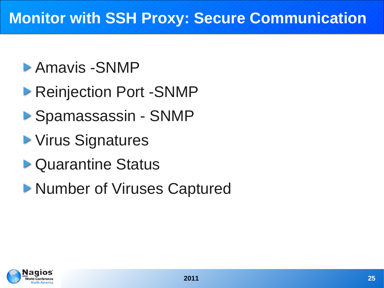### **Monitor with SSH Proxy: Secure Communication**

# Amavis -SNMP

- ▶ Reinjection Port -SNMP
- ▶ Spamassassin SNMP
- **> Virus Signatures**
- **D** Quarantine Status
- **Number of Viruses Captured**

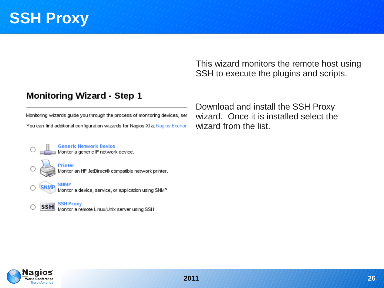This wizard monitors the remote host using SSH to execute the plugins and scripts.

### **Monitoring Wizard - Step 1**

Monitoring wizards quide you through the process of monitoring devices, ser You can find additional configuration wizards for Nagios XI at Nagios Exchant

Download and install the SSH Proxy wizard. Once it is installed select the wizard from the list.

Generic Network Device<br>Monitor a generic IP network device.



Printer Monitor an HP JetDirect® compatible network printer.

Monitor a device, service, or application using SNMP.

**SNMF** 

**SNMP** 

SSH Proxy<br>Monitor a remote Linux/Unix server using SSH. **SSH** 

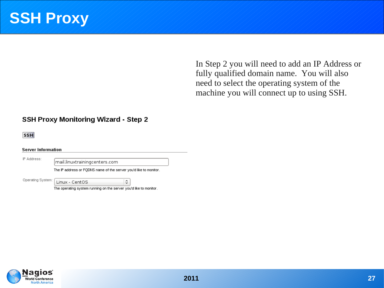In Step 2 you will need to add an IP Address or fully qualified domain name. You will also need to select the operating system of the machine you will connect up to using SSH.

### **SSH Proxy Monitoring Wizard - Step 2**

**SSH** 

**Server Information** 

IP Address:

mail.linuxtrainingcenters.com

Linux - CentOS

The IP address or FQDNS name of the server you'd like to monitor.

Operating System:

The operating system running on the server you'd like to monitor.

 $\hat{\mathcal{L}}$ 

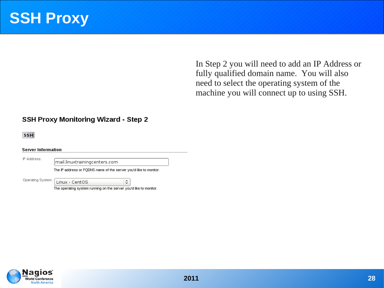In Step 2 you will need to add an IP Address or fully qualified domain name. You will also need to select the operating system of the machine you will connect up to using SSH.

### **SSH Proxy Monitoring Wizard - Step 2**

**SSH** 

**Server Information** 

IP Address:

mail.linuxtrainingcenters.com

Linux - CentOS

The IP address or FQDNS name of the server you'd like to monitor.

Operating System:

The operating system running on the server you'd like to monitor.

 $\hat{\mathcal{L}}$ 

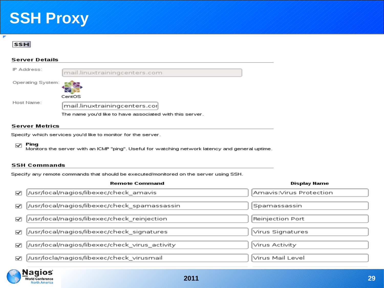

 $\overline{\phantom{a}}$ 

#### **Server Details**



#### **Server Metrics**

Specify which services you'd like to monitor for the server.

#### Ping  $\overline{\mathbf{v}}$

Monitors the server with an ICMP "ping". Useful for watching network latency and general uptime.

#### **SSH Commands**

Specify any remote commands that should be executed/monitored on the server using SSH.

|                         | <b>Remote Command</b>                           | Display Name            |
|-------------------------|-------------------------------------------------|-------------------------|
| 罓                       | //usr/local/nagios/libexec/check_amavis         | Amavis:Virus Protection |
| $\overline{\mathbf{v}}$ | //usr/local/nagios/libexec/check_spamassassin   | Spamassassin            |
| 罓                       | //usr/local/nagios/libexec/check_reinjection    | Reinjection Port        |
| 罓                       | //usr/local/nagios/libexec/check_signatures     | Virus Signatures        |
| 罓                       | //usr/local/nagios/libexec/check_virus_activity | Virus Activity          |
| ☑                       | //usr/locla/nagios/libexec/check_virusmail      | ∣Virus Mail Level       |

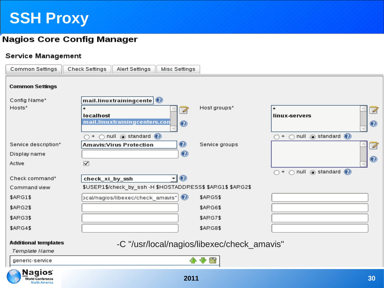### **Nagios Core Config Manager**

### Service Management

| Common Settings                              | Check Settings<br>Alert Settings<br>Misc Settings                  |                |                                                                     |
|----------------------------------------------|--------------------------------------------------------------------|----------------|---------------------------------------------------------------------|
| <b>Common Settings</b>                       |                                                                    |                |                                                                     |
| Config Name*                                 | mail.linuxtrainingcente $ {\mathcal{O}} $                          |                |                                                                     |
| Hosts*                                       | U                                                                  | Host groups*   | $\star$<br>4                                                        |
|                                              | localhost                                                          |                | linux-servers                                                       |
|                                              | mail.linuxtrainingcenters.con<br>$\bullet$                         |                | $\bullet$                                                           |
|                                              | $\bigcirc$ null $\circledcirc$ standard $\circledcirc$<br>$\cap$ + |                | $\bigcirc$ + $\bigcirc$ null $\circledcirc$ standard $\circledcirc$ |
| Service description*                         | ◉<br><b>Amavis: Virus Protection</b>                               | Service groups | $\mathscr{A}$                                                       |
| Display name                                 | ◉                                                                  |                |                                                                     |
| Active                                       | $\overline{\mathbf{y}}$                                            |                | ◉                                                                   |
|                                              |                                                                    |                | $\bigcirc$ + $\bigcirc$ null $\circledcirc$ standard $\circledcirc$ |
| Check command*                               | $\circledcirc$<br>check_xi_by_ssh<br>▾∥                            |                |                                                                     |
| Command view                                 | \$USER1\$/check_by_ssh -H \$HOSTADDRESS\$ \$ARG1\$ \$ARG2\$        |                |                                                                     |
| \$ARG1\$                                     | $\circledcirc$<br> cal/nagios/libexec/check_amavis"                | \$ARG5\$       |                                                                     |
| \$ARG2\$                                     |                                                                    | \$ARG6\$       |                                                                     |
| \$ARG3\$                                     |                                                                    | \$ARG7\$       |                                                                     |
| \$ARG4\$                                     |                                                                    | \$ARG8\$       |                                                                     |
| <b>Additional templates</b><br>Template Name | -C "/usr/local/nagios/libexec/check_amavis"                        |                |                                                                     |
| generic-service                              |                                                                    | ۵<br>⊕         |                                                                     |

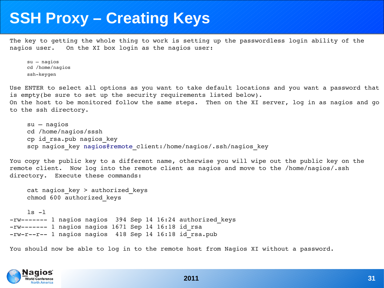### **SSH Proxy – Creating Keys**

The key to getting the whole thing to work is setting up the passwordless login ability of the nagios user. On the XI box login as the nagios user:

```
su – nagios
cd /home/nagios
ssh-keygen
```
Use ENTER to select all options as you want to take default locations and you want a password that is empty(be sure to set up the security requirements listed below). On the host to be monitored follow the same steps. Then on the XI server, log in as nagios and go to the ssh directory.

```
su – nagios
cd /home/nagios/sssh
cp id_rsa.pub nagios_key
scp nagios key nagios@remote client:/home/nagios/.ssh/nagios key
```
You copy the public key to a different name, otherwise you will wipe out the public key on the remote client. Now log into the remote client as nagios and move to the /home/nagios/.ssh directory. Execute these commands:

```
cat nagios key > authorized keys
chmod 600 authorized_keys
```
 $ls -1$ -rw------- 1 nagios nagios 394 Sep 14 16:24 authorized keys  $-rw$ ------ 1 nagios nagios 1671 Sep 14 16:18 id rsa  $-rw-r-r-1$  nagios nagios 418 Sep 14 16:18 id rsa.pub

You should now be able to log in to the remote host from Nagios XI without a password.